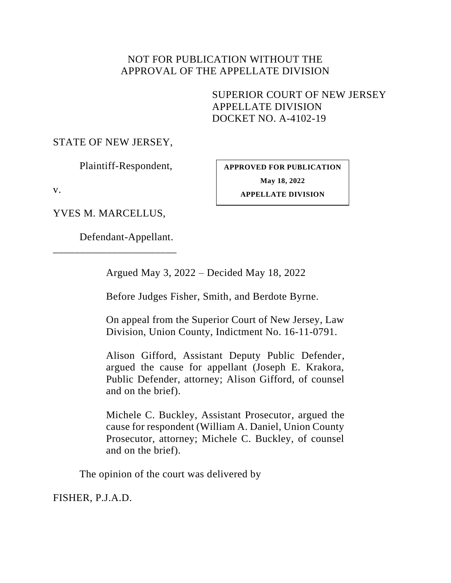## NOT FOR PUBLICATION WITHOUT THE APPROVAL OF THE APPELLATE DIVISION

<span id="page-0-0"></span>SUPERIOR COURT OF NEW JERSEY APPELLATE DIVISION DOCKET NO. A-4102-19

## STATE OF NEW JERSEY,

Plaintiff-Respondent,

**APPROVED FOR PUBLICATION May 18, 2022**

v.

**APPELLATE DIVISION**

YVES M. MARCELLUS,

\_\_\_\_\_\_\_\_\_\_\_\_\_\_\_\_\_\_\_\_\_\_\_

Defendant-Appellant.

Argued May 3, 2022 – Decided May 18, 2022

Before Judges Fisher, Smith, and Berdote Byrne.

On appeal from the Superior Court of New Jersey, Law Division, Union County, Indictment No. 16-11-0791.

Alison Gifford, Assistant Deputy Public Defender, argued the cause for appellant (Joseph E. Krakora, Public Defender, attorney; Alison Gifford, of counsel and on the brief).

Michele C. Buckley, Assistant Prosecutor, argued the cause for respondent (William A. Daniel, Union County Prosecutor, attorney; Michele C. Buckley, of counsel and on the brief).

The opinion of the court was delivered by

FISHER, P.J.A.D.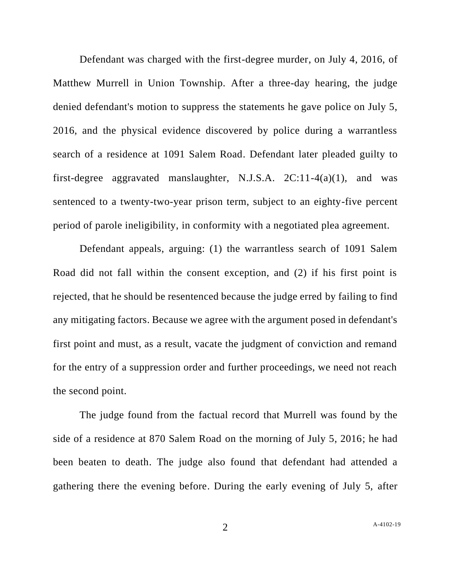Defendant was charged with the first-degree murder, on July 4, 2016, of Matthew Murrell in Union Township. After a three-day hearing, the judge denied defendant's motion to suppress the statements he gave police on July 5, 2016, and the physical evidence discovered by police during a warrantless search of a residence at 1091 Salem Road. Defendant later pleaded guilty to first-degree aggravated manslaughter, N.J.S.A. 2C:11-4(a)(1), and was sentenced to a twenty-two-year prison term, subject to an eighty-five percent period of parole ineligibility, in conformity with a negotiated plea agreement.

Defendant appeals, arguing: (1) the warrantless search of 1091 Salem Road did not fall within the consent exception, and (2) if his first point is rejected, that he should be resentenced because the judge erred by failing to find any mitigating factors. Because we agree with the argument posed in defendant's first point and must, as a result, vacate the judgment of conviction and remand for the entry of a suppression order and further proceedings, we need not reach the second point.

The judge found from the factual record that Murrell was found by the side of a residence at 870 Salem Road on the morning of July 5, 2016; he had been beaten to death. The judge also found that defendant had attended a gathering there the evening before. During the early evening of July 5, after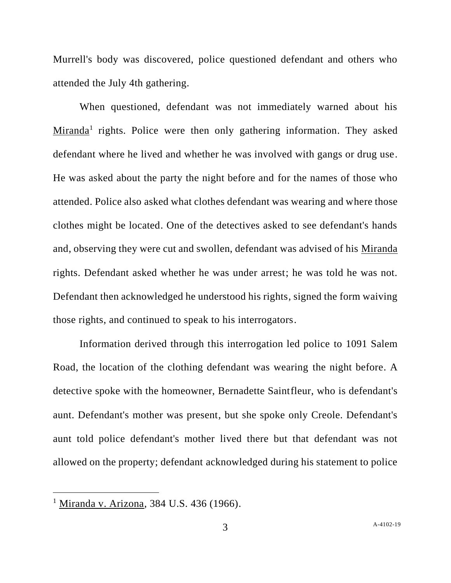Murrell's body was discovered, police questioned defendant and others who attended the July 4th gathering.

When questioned, defendant was not immediately warned about his Miranda<sup>1</sup> rights. Police were then only gathering information. They asked defendant where he lived and whether he was involved with gangs or drug use. He was asked about the party the night before and for the names of those who attended. Police also asked what clothes defendant was wearing and where those clothes might be located. One of the detectives asked to see defendant's hands and, observing they were cut and swollen, defendant was advised of his Miranda rights. Defendant asked whether he was under arrest; he was told he was not. Defendant then acknowledged he understood his rights, signed the form waiving those rights, and continued to speak to his interrogators.

Information derived through this interrogation led police to 1091 Salem Road, the location of the clothing defendant was wearing the night before. A detective spoke with the homeowner, Bernadette Saintfleur, who is defendant's aunt. Defendant's mother was present, but she spoke only Creole. Defendant's aunt told police defendant's mother lived there but that defendant was not allowed on the property; defendant acknowledged during his statement to police

<sup>&</sup>lt;sup>1</sup> Miranda v. Arizona, 384 U.S. 436 (1966).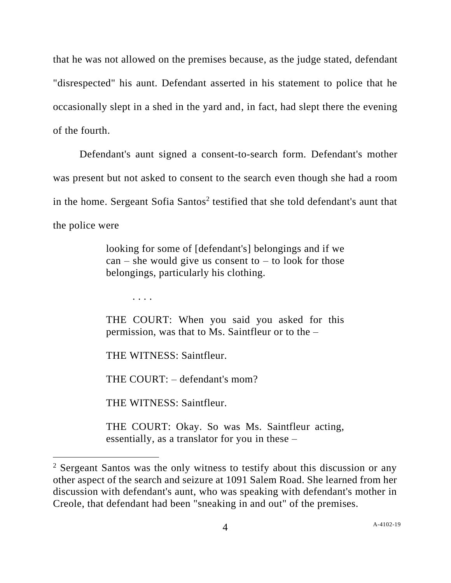that he was not allowed on the premises because, as the judge stated, defendant "disrespected" his aunt. Defendant asserted in his statement to police that he occasionally slept in a shed in the yard and, in fact, had slept there the evening of the fourth.

Defendant's aunt signed a consent-to-search form. Defendant's mother was present but not asked to consent to the search even though she had a room in the home. Sergeant Sofia Santos<sup>2</sup> testified that she told defendant's aunt that the police were

> looking for some of [defendant's] belongings and if we  $can$  – she would give us consent to – to look for those belongings, particularly his clothing.

. . . .

THE COURT: When you said you asked for this permission, was that to Ms. Saintfleur or to the –

THE WITNESS: Saintfleur.

THE COURT: – defendant's mom?

THE WITNESS: Saintfleur.

THE COURT: Okay. So was Ms. Saintfleur acting, essentially, as a translator for you in these –

<sup>2</sup> Sergeant Santos was the only witness to testify about this discussion or any other aspect of the search and seizure at 1091 Salem Road. She learned from her discussion with defendant's aunt, who was speaking with defendant's mother in Creole, that defendant had been "sneaking in and out" of the premises.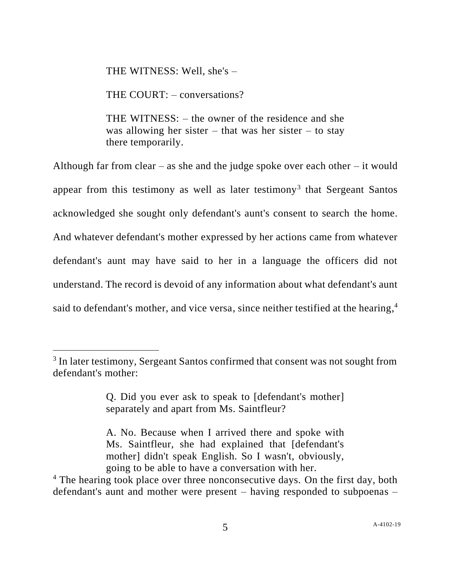THE WITNESS: Well, she's –

THE COURT: – conversations?

THE WITNESS: – the owner of the residence and she was allowing her sister – that was her sister – to stay there temporarily.

Although far from clear – as she and the judge spoke over each other – it would appear from this testimony as well as later testimony<sup>3</sup> that Sergeant Santos acknowledged she sought only defendant's aunt's consent to search the home. And whatever defendant's mother expressed by her actions came from whatever defendant's aunt may have said to her in a language the officers did not understand. The record is devoid of any information about what defendant's aunt said to defendant's mother, and vice versa, since neither testified at the hearing, 4

A. No. Because when I arrived there and spoke with Ms. Saintfleur, she had explained that [defendant's mother] didn't speak English. So I wasn't, obviously, going to be able to have a conversation with her.

<sup>&</sup>lt;sup>3</sup> In later testimony, Sergeant Santos confirmed that consent was not sought from defendant's mother:

Q. Did you ever ask to speak to [defendant's mother] separately and apart from Ms. Saintfleur?

<sup>&</sup>lt;sup>4</sup> The hearing took place over three nonconsecutive days. On the first day, both defendant's aunt and mother were present – having responded to subpoenas –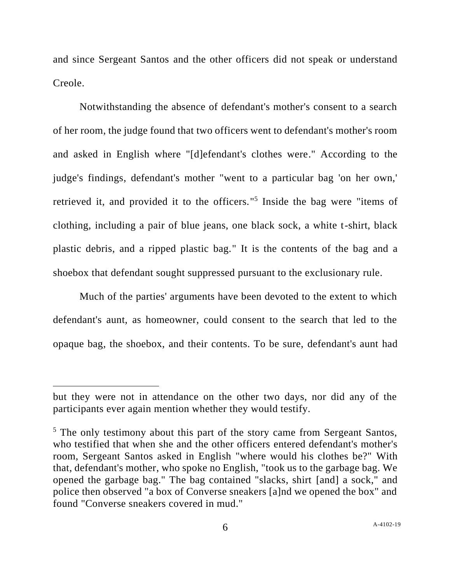and since Sergeant Santos and the other officers did not speak or understand Creole.

Notwithstanding the absence of defendant's mother's consent to a search of her room, the judge found that two officers went to defendant's mother's room and asked in English where "[d]efendant's clothes were." According to the judge's findings, defendant's mother "went to a particular bag 'on her own,' retrieved it, and provided it to the officers." 5 Inside the bag were "items of clothing, including a pair of blue jeans, one black sock, a white t-shirt, black plastic debris, and a ripped plastic bag." It is the contents of the bag and a shoebox that defendant sought suppressed pursuant to the exclusionary rule.

Much of the parties' arguments have been devoted to the extent to which defendant's aunt, as homeowner, could consent to the search that led to the opaque bag, the shoebox, and their contents. To be sure, defendant's aunt had

but they were not in attendance on the other two days, nor did any of the participants ever again mention whether they would testify.

 $<sup>5</sup>$  The only testimony about this part of the story came from Sergeant Santos,</sup> who testified that when she and the other officers entered defendant's mother's room, Sergeant Santos asked in English "where would his clothes be?" With that, defendant's mother, who spoke no English, "took us to the garbage bag. We opened the garbage bag." The bag contained "slacks, shirt [and] a sock," and police then observed "a box of Converse sneakers [a]nd we opened the box" and found "Converse sneakers covered in mud."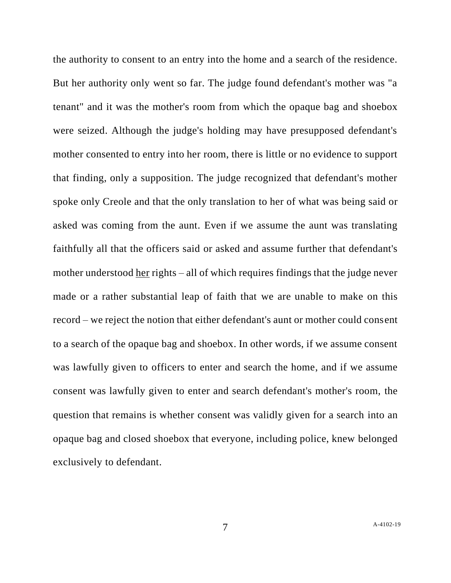the authority to consent to an entry into the home and a search of the residence. But her authority only went so far. The judge found defendant's mother was "a tenant" and it was the mother's room from which the opaque bag and shoebox were seized. Although the judge's holding may have presupposed defendant's mother consented to entry into her room, there is little or no evidence to support that finding, only a supposition. The judge recognized that defendant's mother spoke only Creole and that the only translation to her of what was being said or asked was coming from the aunt. Even if we assume the aunt was translating faithfully all that the officers said or asked and assume further that defendant's mother understood her rights – all of which requires findings that the judge never made or a rather substantial leap of faith that we are unable to make on this record – we reject the notion that either defendant's aunt or mother could consent to a search of the opaque bag and shoebox. In other words, if we assume consent was lawfully given to officers to enter and search the home, and if we assume consent was lawfully given to enter and search defendant's mother's room, the question that remains is whether consent was validly given for a search into an opaque bag and closed shoebox that everyone, including police, knew belonged exclusively to defendant.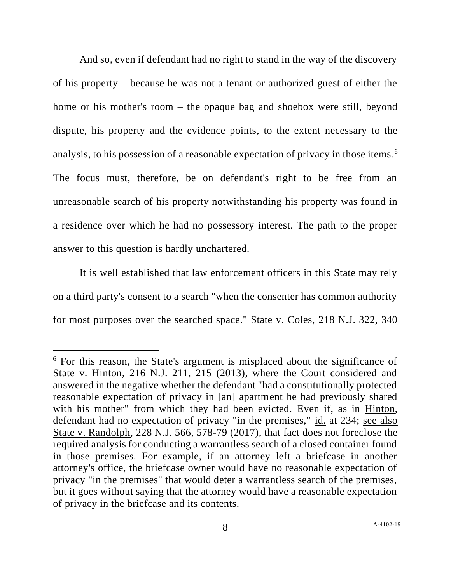And so, even if defendant had no right to stand in the way of the discovery of his property – because he was not a tenant or authorized guest of either the home or his mother's room – the opaque bag and shoebox were still, beyond dispute, his property and the evidence points, to the extent necessary to the analysis, to his possession of a reasonable expectation of privacy in those items. 6 The focus must, therefore, be on defendant's right to be free from an unreasonable search of his property notwithstanding his property was found in a residence over which he had no possessory interest. The path to the proper answer to this question is hardly unchartered.

It is well established that law enforcement officers in this State may rely on a third party's consent to a search "when the consenter has common authority for most purposes over the searched space." State v. Coles, 218 N.J. 322, 340

<sup>6</sup> For this reason, the State's argument is misplaced about the significance of State v. Hinton, 216 N.J. 211, 215 (2013), where the Court considered and answered in the negative whether the defendant "had a constitutionally protected reasonable expectation of privacy in [an] apartment he had previously shared with his mother" from which they had been evicted. Even if, as in Hinton, defendant had no expectation of privacy "in the premises," id. at 234; see also State v. Randolph, 228 N.J. 566, 578-79 (2017), that fact does not foreclose the required analysis for conducting a warrantless search of a closed container found in those premises. For example, if an attorney left a briefcase in another attorney's office, the briefcase owner would have no reasonable expectation of privacy "in the premises" that would deter a warrantless search of the premises, but it goes without saying that the attorney would have a reasonable expectation of privacy in the briefcase and its contents.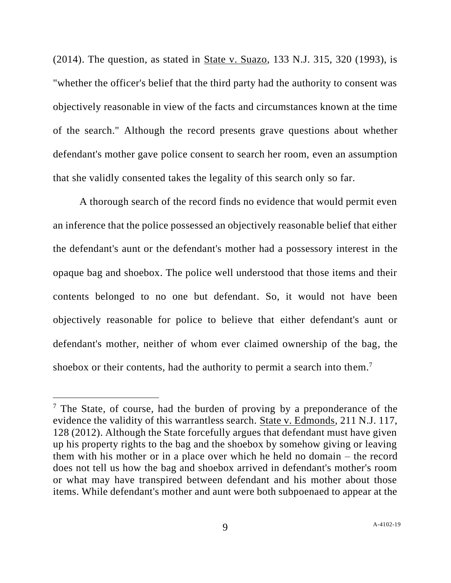(2014). The question, as stated in State v. Suazo, 133 N.J. 315, 320 (1993), is "whether the officer's belief that the third party had the authority to consent was objectively reasonable in view of the facts and circumstances known at the time of the search." Although the record presents grave questions about whether defendant's mother gave police consent to search her room, even an assumption that she validly consented takes the legality of this search only so far.

A thorough search of the record finds no evidence that would permit even an inference that the police possessed an objectively reasonable belief that either the defendant's aunt or the defendant's mother had a possessory interest in the opaque bag and shoebox. The police well understood that those items and their contents belonged to no one but defendant. So, it would not have been objectively reasonable for police to believe that either defendant's aunt or defendant's mother, neither of whom ever claimed ownership of the bag, the shoebox or their contents, had the authority to permit a search into them.<sup>7</sup>

 $<sup>7</sup>$  The State, of course, had the burden of proving by a preponderance of the</sup> evidence the validity of this warrantless search. State v. Edmonds, 211 N.J. 117, 128 (2012). Although the State forcefully argues that defendant must have given up his property rights to the bag and the shoebox by somehow giving or leaving them with his mother or in a place over which he held no domain – the record does not tell us how the bag and shoebox arrived in defendant's mother's room or what may have transpired between defendant and his mother about those items. While defendant's mother and aunt were both subpoenaed to appear at the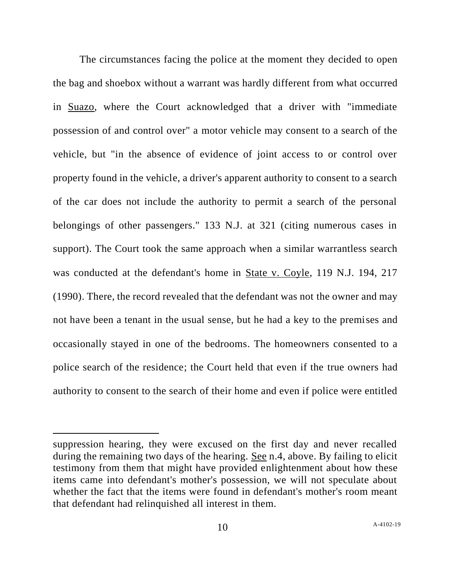The circumstances facing the police at the moment they decided to open the bag and shoebox without a warrant was hardly different from what occurred in Suazo, where the Court acknowledged that a driver with "immediate possession of and control over" a motor vehicle may consent to a search of the vehicle, but "in the absence of evidence of joint access to or control over property found in the vehicle, a driver's apparent authority to consent to a search of the car does not include the authority to permit a search of the personal belongings of other passengers." 133 N.J. at 321 (citing numerous cases in support). The Court took the same approach when a similar warrantless search was conducted at the defendant's home in State v. Coyle, 119 N.J. 194, 217 (1990). There, the record revealed that the defendant was not the owner and may not have been a tenant in the usual sense, but he had a key to the premises and occasionally stayed in one of the bedrooms. The homeowners consented to a police search of the residence; the Court held that even if the true owners had authority to consent to the search of their home and even if police were entitled

suppression hearing, they were excused on the first day and never recalled during the remaining two days of the hearing. See n.4, above. By failing to elicit testimony from them that might have provided enlightenment about how these items came into defendant's mother's possession, we will not speculate about whether the fact that the items were found in defendant's mother's room meant that defendant had relinquished all interest in them.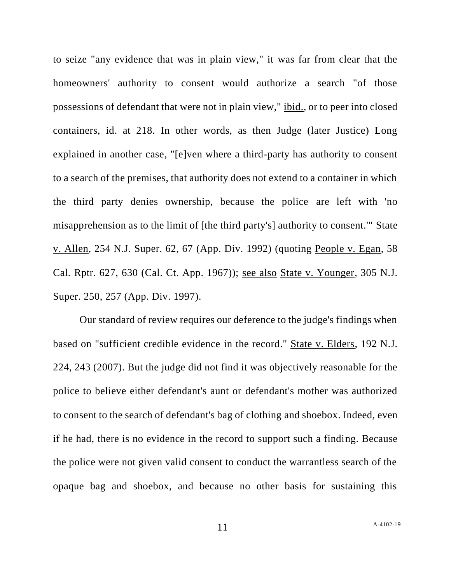to seize "any evidence that was in plain view," it was far from clear that the homeowners' authority to consent would authorize a search "of those possessions of defendant that were not in plain view," ibid., or to peer into closed containers, id. at 218. In other words, as then Judge (later Justice) Long explained in another case, "[e]ven where a third-party has authority to consent to a search of the premises, that authority does not extend to a container in which the third party denies ownership, because the police are left with 'no misapprehension as to the limit of [the third party's] authority to consent.'" State v. Allen, 254 N.J. Super. 62, 67 (App. Div. 1992) (quoting People v. Egan, 58 Cal. Rptr. 627, 630 (Cal. Ct. App. 1967)); see also State v. Younger, 305 N.J. Super. 250, 257 (App. Div. 1997).

Our standard of review requires our deference to the judge's findings when based on "sufficient credible evidence in the record." State v. Elders, 192 N.J. 224, 243 (2007). But the judge did not find it was objectively reasonable for the police to believe either defendant's aunt or defendant's mother was authorized to consent to the search of defendant's bag of clothing and shoebox. Indeed, even if he had, there is no evidence in the record to support such a finding. Because the police were not given valid consent to conduct the warrantless search of the opaque bag and shoebox, and because no other basis for sustaining this